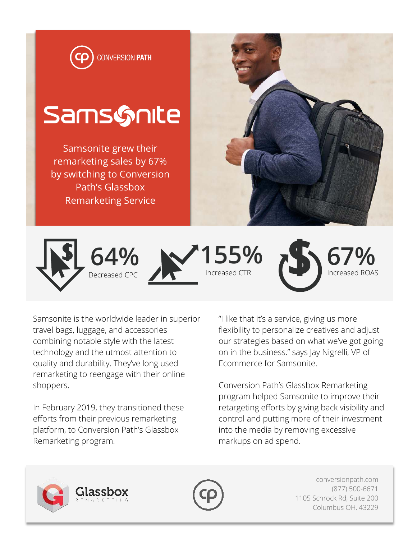

Samsonite is the worldwide leader in superior travel bags, luggage, and accessories combining notable style with the latest technology and the utmost attention to quality and durability. They've long used remarketing to reengage with their online shoppers.

In February 2019, they transitioned these efforts from their previous remarketing platform, to Conversion Path's Glassbox Remarketing program.

ilassbox

"I like that it's a service, giving us more flexibility to personalize creatives and adjust our strategies based on what we've got going on in the business." says Jay Nigrelli, VP of Ecommerce for Samsonite.

Conversion Path's Glassbox Remarketing program helped Samsonite to improve their retargeting efforts by giving back visibility and control and putting more of their investment into the media by removing excessive markups on ad spend.





conversionpath.com (877) 500-6671 1105 Schrock Rd, Suite 200 Columbus OH, 43229